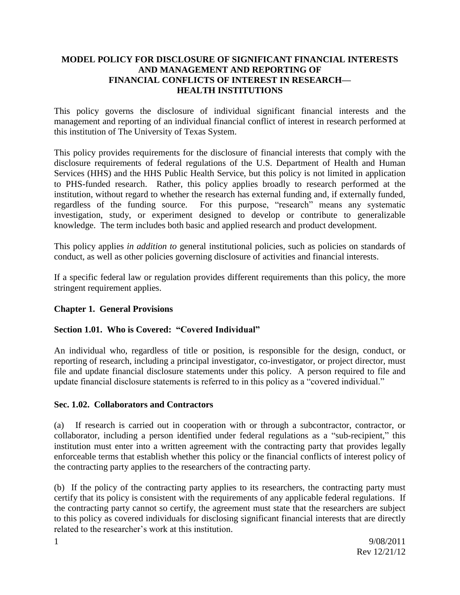#### **MODEL POLICY FOR DISCLOSURE OF SIGNIFICANT FINANCIAL INTERESTS AND MANAGEMENT AND REPORTING OF FINANCIAL CONFLICTS OF INTEREST IN RESEARCH— HEALTH INSTITUTIONS**

This policy governs the disclosure of individual significant financial interests and the management and reporting of an individual financial conflict of interest in research performed at this institution of The University of Texas System.

This policy provides requirements for the disclosure of financial interests that comply with the disclosure requirements of federal regulations of the U.S. Department of Health and Human Services (HHS) and the HHS Public Health Service, but this policy is not limited in application to PHS-funded research. Rather, this policy applies broadly to research performed at the institution, without regard to whether the research has external funding and, if externally funded, regardless of the funding source. For this purpose, "research" means any systematic investigation, study, or experiment designed to develop or contribute to generalizable knowledge. The term includes both basic and applied research and product development.

This policy applies *in addition to* general institutional policies, such as policies on standards of conduct, as well as other policies governing disclosure of activities and financial interests.

If a specific federal law or regulation provides different requirements than this policy, the more stringent requirement applies.

### **Chapter 1. General Provisions**

### **Section 1.01. Who is Covered: "Covered Individual"**

An individual who, regardless of title or position, is responsible for the design, conduct, or reporting of research, including a principal investigator, co-investigator, or project director, must file and update financial disclosure statements under this policy. A person required to file and update financial disclosure statements is referred to in this policy as a "covered individual."

### **Sec. 1.02. Collaborators and Contractors**

(a) If research is carried out in cooperation with or through a subcontractor, contractor, or collaborator, including a person identified under federal regulations as a "sub-recipient," this institution must enter into a written agreement with the contracting party that provides legally enforceable terms that establish whether this policy or the financial conflicts of interest policy of the contracting party applies to the researchers of the contracting party.

(b) If the policy of the contracting party applies to its researchers, the contracting party must certify that its policy is consistent with the requirements of any applicable federal regulations. If the contracting party cannot so certify, the agreement must state that the researchers are subject to this policy as covered individuals for disclosing significant financial interests that are directly related to the researcher's work at this institution.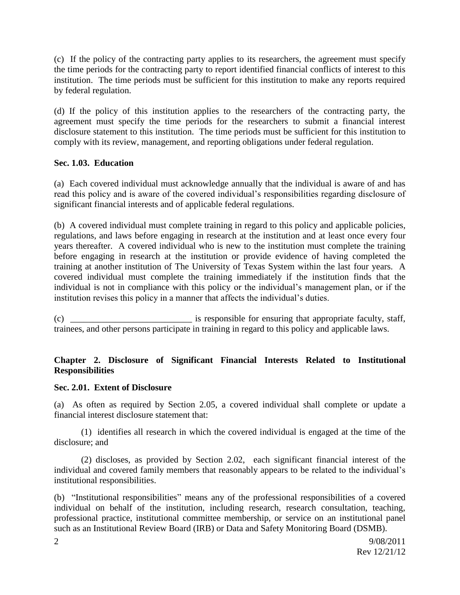(c) If the policy of the contracting party applies to its researchers, the agreement must specify the time periods for the contracting party to report identified financial conflicts of interest to this institution. The time periods must be sufficient for this institution to make any reports required by federal regulation.

(d) If the policy of this institution applies to the researchers of the contracting party, the agreement must specify the time periods for the researchers to submit a financial interest disclosure statement to this institution. The time periods must be sufficient for this institution to comply with its review, management, and reporting obligations under federal regulation.

### **Sec. 1.03. Education**

(a) Each covered individual must acknowledge annually that the individual is aware of and has read this policy and is aware of the covered individual's responsibilities regarding disclosure of significant financial interests and of applicable federal regulations.

(b) A covered individual must complete training in regard to this policy and applicable policies, regulations, and laws before engaging in research at the institution and at least once every four years thereafter. A covered individual who is new to the institution must complete the training before engaging in research at the institution or provide evidence of having completed the training at another institution of The University of Texas System within the last four years. A covered individual must complete the training immediately if the institution finds that the individual is not in compliance with this policy or the individual's management plan, or if the institution revises this policy in a manner that affects the individual's duties.

(c) \_\_\_\_\_\_\_\_\_\_\_\_\_\_\_\_\_\_\_\_\_\_\_\_\_\_\_ is responsible for ensuring that appropriate faculty, staff, trainees, and other persons participate in training in regard to this policy and applicable laws.

### **Chapter 2. Disclosure of Significant Financial Interests Related to Institutional Responsibilities**

#### **Sec. 2.01. Extent of Disclosure**

(a) As often as required by Section 2.05, a covered individual shall complete or update a financial interest disclosure statement that:

(1) identifies all research in which the covered individual is engaged at the time of the disclosure; and

(2) discloses, as provided by Section 2.02, each significant financial interest of the individual and covered family members that reasonably appears to be related to the individual's institutional responsibilities.

(b) "Institutional responsibilities" means any of the professional responsibilities of a covered individual on behalf of the institution, including research, research consultation, teaching, professional practice, institutional committee membership, or service on an institutional panel such as an Institutional Review Board (IRB) or Data and Safety Monitoring Board (DSMB).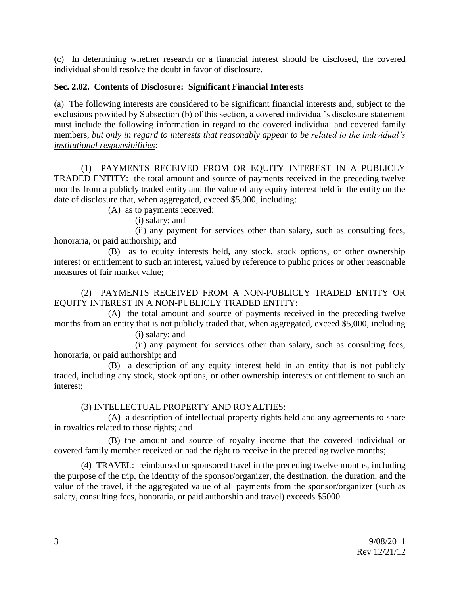(c) In determining whether research or a financial interest should be disclosed, the covered individual should resolve the doubt in favor of disclosure.

## **Sec. 2.02. Contents of Disclosure: Significant Financial Interests**

(a) The following interests are considered to be significant financial interests and, subject to the exclusions provided by Subsection (b) of this section, a covered individual's disclosure statement must include the following information in regard to the covered individual and covered family members, *but only in regard to interests that reasonably appear to be related to the individual's institutional responsibilities*:

(1) PAYMENTS RECEIVED FROM OR EQUITY INTEREST IN A PUBLICLY TRADED ENTITY: the total amount and source of payments received in the preceding twelve months from a publicly traded entity and the value of any equity interest held in the entity on the date of disclosure that, when aggregated, exceed \$5,000, including:

(A) as to payments received:

(i) salary; and

(ii) any payment for services other than salary, such as consulting fees, honoraria, or paid authorship; and

(B) as to equity interests held, any stock, stock options, or other ownership interest or entitlement to such an interest, valued by reference to public prices or other reasonable measures of fair market value;

(2) PAYMENTS RECEIVED FROM A NON-PUBLICLY TRADED ENTITY OR EQUITY INTEREST IN A NON-PUBLICLY TRADED ENTITY:

(A) the total amount and source of payments received in the preceding twelve months from an entity that is not publicly traded that, when aggregated, exceed \$5,000, including (i) salary; and

(ii) any payment for services other than salary, such as consulting fees, honoraria, or paid authorship; and

(B) a description of any equity interest held in an entity that is not publicly traded, including any stock, stock options, or other ownership interests or entitlement to such an interest;

(3) INTELLECTUAL PROPERTY AND ROYALTIES:

(A) a description of intellectual property rights held and any agreements to share in royalties related to those rights; and

(B) the amount and source of royalty income that the covered individual or covered family member received or had the right to receive in the preceding twelve months;

(4) TRAVEL: reimbursed or sponsored travel in the preceding twelve months, including the purpose of the trip, the identity of the sponsor/organizer, the destination, the duration, and the value of the travel, if the aggregated value of all payments from the sponsor/organizer (such as salary, consulting fees, honoraria, or paid authorship and travel) exceeds \$5000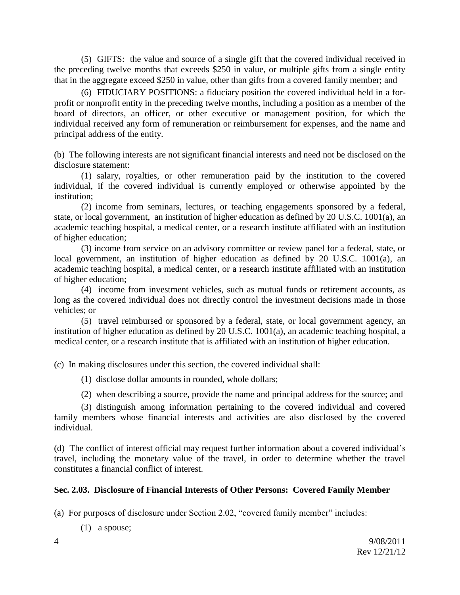(5) GIFTS: the value and source of a single gift that the covered individual received in the preceding twelve months that exceeds \$250 in value, or multiple gifts from a single entity that in the aggregate exceed \$250 in value, other than gifts from a covered family member; and

(6) FIDUCIARY POSITIONS: a fiduciary position the covered individual held in a forprofit or nonprofit entity in the preceding twelve months, including a position as a member of the board of directors, an officer, or other executive or management position, for which the individual received any form of remuneration or reimbursement for expenses, and the name and principal address of the entity.

(b) The following interests are not significant financial interests and need not be disclosed on the disclosure statement:

(1) salary, royalties, or other remuneration paid by the institution to the covered individual, if the covered individual is currently employed or otherwise appointed by the institution;

(2) income from seminars, lectures, or teaching engagements sponsored by a federal, state, or local government, an institution of higher education as defined by 20 U.S.C. 1001(a), an academic teaching hospital, a medical center, or a research institute affiliated with an institution of higher education;

(3) income from service on an advisory committee or review panel for a federal, state, or local government, an institution of higher education as defined by 20 U.S.C. 1001(a), an academic teaching hospital, a medical center, or a research institute affiliated with an institution of higher education;

(4) income from investment vehicles, such as mutual funds or retirement accounts, as long as the covered individual does not directly control the investment decisions made in those vehicles; or

(5) travel reimbursed or sponsored by a federal, state, or local government agency, an institution of higher education as defined by 20 U.S.C. 1001(a), an academic teaching hospital, a medical center, or a research institute that is affiliated with an institution of higher education.

(c) In making disclosures under this section, the covered individual shall:

(1) disclose dollar amounts in rounded, whole dollars;

(2) when describing a source, provide the name and principal address for the source; and

(3) distinguish among information pertaining to the covered individual and covered family members whose financial interests and activities are also disclosed by the covered individual.

(d) The conflict of interest official may request further information about a covered individual's travel, including the monetary value of the travel, in order to determine whether the travel constitutes a financial conflict of interest.

### **Sec. 2.03. Disclosure of Financial Interests of Other Persons: Covered Family Member**

(a)For purposes of disclosure under Section 2.02, "covered family member" includes:

(1) a spouse;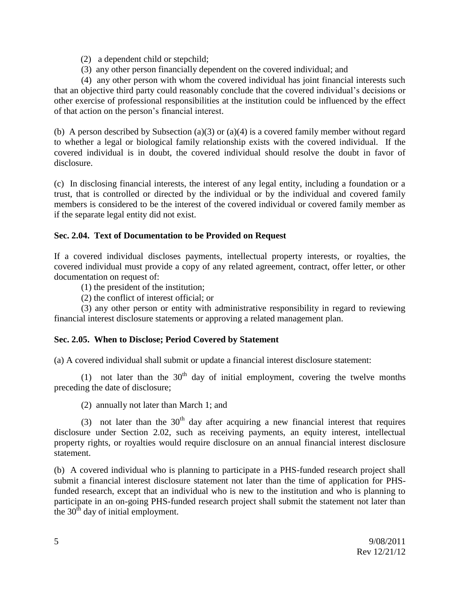- (2) a dependent child or stepchild;
- (3) any other person financially dependent on the covered individual; and

(4) any other person with whom the covered individual has joint financial interests such that an objective third party could reasonably conclude that the covered individual's decisions or other exercise of professional responsibilities at the institution could be influenced by the effect of that action on the person's financial interest.

(b) A person described by Subsection (a)(3) or (a)(4) is a covered family member without regard to whether a legal or biological family relationship exists with the covered individual. If the covered individual is in doubt, the covered individual should resolve the doubt in favor of disclosure.

(c) In disclosing financial interests, the interest of any legal entity, including a foundation or a trust, that is controlled or directed by the individual or by the individual and covered family members is considered to be the interest of the covered individual or covered family member as if the separate legal entity did not exist.

### **Sec. 2.04. Text of Documentation to be Provided on Request**

If a covered individual discloses payments, intellectual property interests, or royalties, the covered individual must provide a copy of any related agreement, contract, offer letter, or other documentation on request of:

(1) the president of the institution;

(2) the conflict of interest official; or

(3) any other person or entity with administrative responsibility in regard to reviewing financial interest disclosure statements or approving a related management plan.

### **Sec. 2.05. When to Disclose; Period Covered by Statement**

(a) A covered individual shall submit or update a financial interest disclosure statement:

(1) not later than the  $30<sup>th</sup>$  day of initial employment, covering the twelve months preceding the date of disclosure;

(2) annually not later than March 1; and

(3) not later than the  $30<sup>th</sup>$  day after acquiring a new financial interest that requires disclosure under Section 2.02, such as receiving payments, an equity interest, intellectual property rights, or royalties would require disclosure on an annual financial interest disclosure statement.

(b) A covered individual who is planning to participate in a PHS-funded research project shall submit a financial interest disclosure statement not later than the time of application for PHSfunded research, except that an individual who is new to the institution and who is planning to participate in an on-going PHS-funded research project shall submit the statement not later than the  $30<sup>th</sup>$  day of initial employment.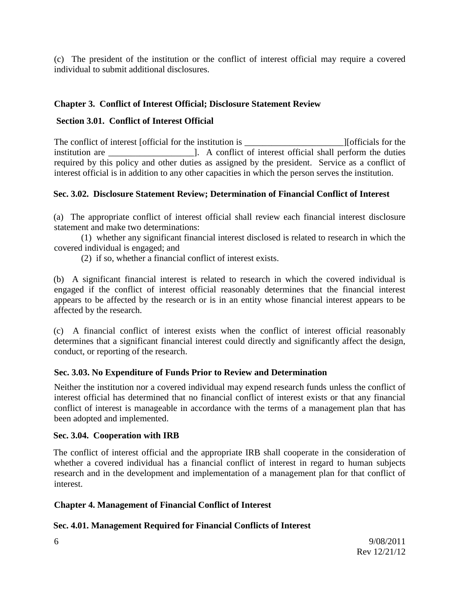(c) The president of the institution or the conflict of interest official may require a covered individual to submit additional disclosures.

## **Chapter 3. Conflict of Interest Official; Disclosure Statement Review**

## **Section 3.01. Conflict of Interest Official**

The conflict of interest [official for the institution is The conflict of interest [officials for the institution is institution are \_\_\_\_\_\_\_\_\_\_\_\_\_\_\_\_\_\_\_]. A conflict of interest official shall perform the duties required by this policy and other duties as assigned by the president. Service as a conflict of interest official is in addition to any other capacities in which the person serves the institution.

# **Sec. 3.02. Disclosure Statement Review; Determination of Financial Conflict of Interest**

(a) The appropriate conflict of interest official shall review each financial interest disclosure statement and make two determinations:

(1) whether any significant financial interest disclosed is related to research in which the covered individual is engaged; and

(2) if so, whether a financial conflict of interest exists.

(b) A significant financial interest is related to research in which the covered individual is engaged if the conflict of interest official reasonably determines that the financial interest appears to be affected by the research or is in an entity whose financial interest appears to be affected by the research.

(c) A financial conflict of interest exists when the conflict of interest official reasonably determines that a significant financial interest could directly and significantly affect the design, conduct, or reporting of the research.

### **Sec. 3.03. No Expenditure of Funds Prior to Review and Determination**

Neither the institution nor a covered individual may expend research funds unless the conflict of interest official has determined that no financial conflict of interest exists or that any financial conflict of interest is manageable in accordance with the terms of a management plan that has been adopted and implemented.

#### **Sec. 3.04. Cooperation with IRB**

The conflict of interest official and the appropriate IRB shall cooperate in the consideration of whether a covered individual has a financial conflict of interest in regard to human subjects research and in the development and implementation of a management plan for that conflict of interest.

### **Chapter 4. Management of Financial Conflict of Interest**

### **Sec. 4.01. Management Required for Financial Conflicts of Interest**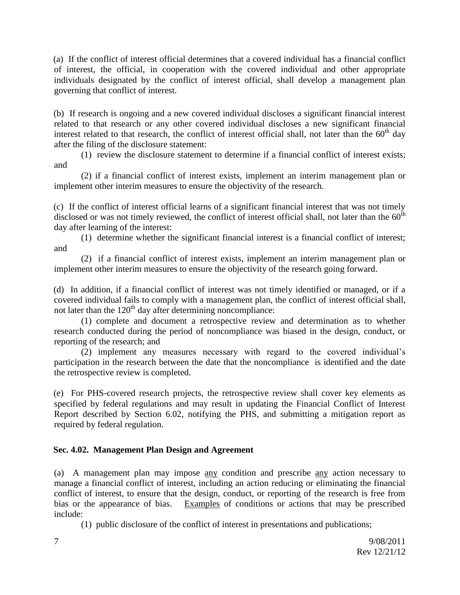(a) If the conflict of interest official determines that a covered individual has a financial conflict of interest, the official, in cooperation with the covered individual and other appropriate individuals designated by the conflict of interest official, shall develop a management plan governing that conflict of interest.

(b) If research is ongoing and a new covered individual discloses a significant financial interest related to that research or any other covered individual discloses a new significant financial interest related to that research, the conflict of interest official shall, not later than the  $60<sup>th</sup>$  day after the filing of the disclosure statement:

(1) review the disclosure statement to determine if a financial conflict of interest exists; and

(2) if a financial conflict of interest exists, implement an interim management plan or implement other interim measures to ensure the objectivity of the research.

(c) If the conflict of interest official learns of a significant financial interest that was not timely disclosed or was not timely reviewed, the conflict of interest official shall, not later than the  $60<sup>th</sup>$ day after learning of the interest:

(1) determine whether the significant financial interest is a financial conflict of interest; and

(2) if a financial conflict of interest exists, implement an interim management plan or implement other interim measures to ensure the objectivity of the research going forward.

(d) In addition, if a financial conflict of interest was not timely identified or managed, or if a covered individual fails to comply with a management plan, the conflict of interest official shall, not later than the  $120<sup>th</sup>$  day after determining noncompliance:

(1) complete and document a retrospective review and determination as to whether research conducted during the period of noncompliance was biased in the design, conduct, or reporting of the research; and

(2) implement any measures necessary with regard to the covered individual's participation in the research between the date that the noncompliance is identified and the date the retrospective review is completed.

(e) For PHS-covered research projects, the retrospective review shall cover key elements as specified by federal regulations and may result in updating the Financial Conflict of Interest Report described by Section 6.02, notifying the PHS, and submitting a mitigation report as required by federal regulation.

### **Sec. 4.02. Management Plan Design and Agreement**

(a) A management plan may impose any condition and prescribe any action necessary to manage a financial conflict of interest, including an action reducing or eliminating the financial conflict of interest, to ensure that the design, conduct, or reporting of the research is free from bias or the appearance of bias. Examples of conditions or actions that may be prescribed include:

(1) public disclosure of the conflict of interest in presentations and publications;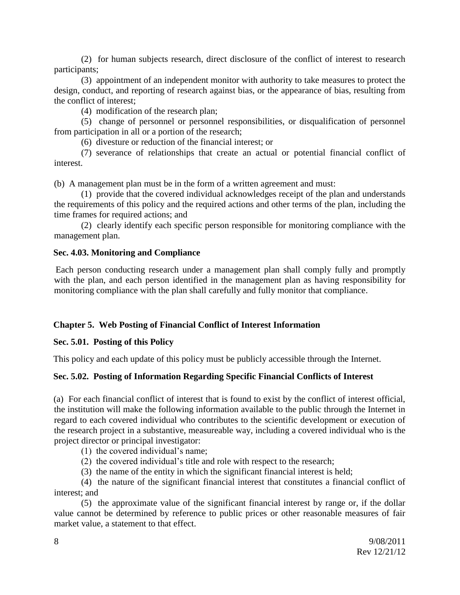(2) for human subjects research, direct disclosure of the conflict of interest to research participants;

(3) appointment of an independent monitor with authority to take measures to protect the design, conduct, and reporting of research against bias, or the appearance of bias, resulting from the conflict of interest;

(4) modification of the research plan;

(5) change of personnel or personnel responsibilities, or disqualification of personnel from participation in all or a portion of the research;

(6) divesture or reduction of the financial interest; or

(7) severance of relationships that create an actual or potential financial conflict of interest.

(b) A management plan must be in the form of a written agreement and must:

(1) provide that the covered individual acknowledges receipt of the plan and understands the requirements of this policy and the required actions and other terms of the plan, including the time frames for required actions; and

(2) clearly identify each specific person responsible for monitoring compliance with the management plan.

#### **Sec. 4.03. Monitoring and Compliance**

Each person conducting research under a management plan shall comply fully and promptly with the plan, and each person identified in the management plan as having responsibility for monitoring compliance with the plan shall carefully and fully monitor that compliance.

### **Chapter 5. Web Posting of Financial Conflict of Interest Information**

#### **Sec. 5.01. Posting of this Policy**

This policy and each update of this policy must be publicly accessible through the Internet.

### **Sec. 5.02. Posting of Information Regarding Specific Financial Conflicts of Interest**

(a) For each financial conflict of interest that is found to exist by the conflict of interest official, the institution will make the following information available to the public through the Internet in regard to each covered individual who contributes to the scientific development or execution of the research project in a substantive, measureable way, including a covered individual who is the project director or principal investigator:

(1) the covered individual's name;

- (2) the covered individual's title and role with respect to the research;
- (3) the name of the entity in which the significant financial interest is held;

(4) the nature of the significant financial interest that constitutes a financial conflict of interest; and

(5) the approximate value of the significant financial interest by range or, if the dollar value cannot be determined by reference to public prices or other reasonable measures of fair market value, a statement to that effect.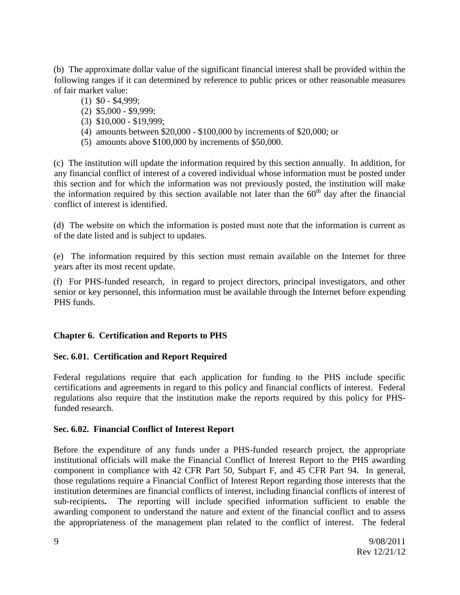(b) The approximate dollar value of the significant financial interest shall be provided within the following ranges if it can determined by reference to public prices or other reasonable measures of fair market value:

- (1) \$0 \$4,999;
- (2) \$5,000 \$9,999;
- (3) \$10,000 \$19,999;
- (4) amounts between \$20,000 \$100,000 by increments of \$20,000; or
- (5) amounts above \$100,000 by increments of \$50,000.

(c) The institution will update the information required by this section annually. In addition, for any financial conflict of interest of a covered individual whose information must be posted under this section and for which the information was not previously posted, the institution will make the information required by this section available not later than the  $60<sup>th</sup>$  day after the financial conflict of interest is identified.

(d) The website on which the information is posted must note that the information is current as of the date listed and is subject to updates.

(e) The information required by this section must remain available on the Internet for three years after its most recent update.

(f) For PHS-funded research, in regard to project directors, principal investigators, and other senior or key personnel, this information must be available through the Internet before expending PHS funds.

### **Chapter 6. Certification and Reports to PHS**

### **Sec. 6.01. Certification and Report Required**

Federal regulations require that each application for funding to the PHS include specific certifications and agreements in regard to this policy and financial conflicts of interest. Federal regulations also require that the institution make the reports required by this policy for PHSfunded research.

#### **Sec. 6.02. Financial Conflict of Interest Report**

Before the expenditure of any funds under a PHS-funded research project, the appropriate institutional officials will make the Financial Conflict of Interest Report to the PHS awarding component in compliance with 42 CFR Part 50, Subpart F, and 45 CFR Part 94. In general, those regulations require a Financial Conflict of Interest Report regarding those interests that the institution determines are financial conflicts of interest, including financial conflicts of interest of sub-recipients**.** The reporting will include specified information sufficient to enable the awarding component to understand the nature and extent of the financial conflict and to assess the appropriateness of the management plan related to the conflict of interest. The federal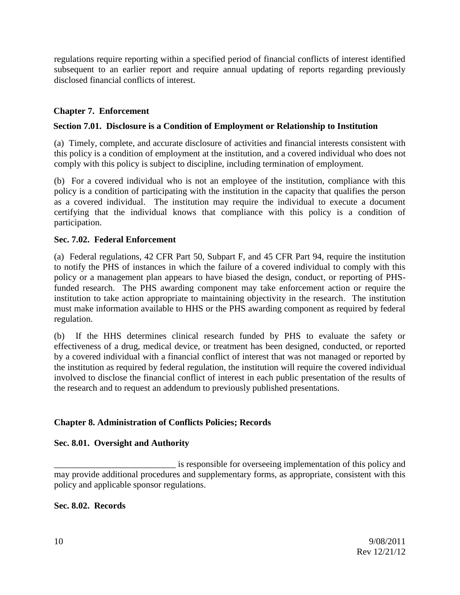regulations require reporting within a specified period of financial conflicts of interest identified subsequent to an earlier report and require annual updating of reports regarding previously disclosed financial conflicts of interest.

# **Chapter 7. Enforcement**

### **Section 7.01. Disclosure is a Condition of Employment or Relationship to Institution**

(a) Timely, complete, and accurate disclosure of activities and financial interests consistent with this policy is a condition of employment at the institution, and a covered individual who does not comply with this policy is subject to discipline, including termination of employment.

(b) For a covered individual who is not an employee of the institution, compliance with this policy is a condition of participating with the institution in the capacity that qualifies the person as a covered individual. The institution may require the individual to execute a document certifying that the individual knows that compliance with this policy is a condition of participation.

#### **Sec. 7.02. Federal Enforcement**

(a) Federal regulations, 42 CFR Part 50, Subpart F, and 45 CFR Part 94, require the institution to notify the PHS of instances in which the failure of a covered individual to comply with this policy or a management plan appears to have biased the design, conduct, or reporting of PHSfunded research. The PHS awarding component may take enforcement action or require the institution to take action appropriate to maintaining objectivity in the research. The institution must make information available to HHS or the PHS awarding component as required by federal regulation.

(b) If the HHS determines clinical research funded by PHS to evaluate the safety or effectiveness of a drug, medical device, or treatment has been designed, conducted, or reported by a covered individual with a financial conflict of interest that was not managed or reported by the institution as required by federal regulation, the institution will require the covered individual involved to disclose the financial conflict of interest in each public presentation of the results of the research and to request an addendum to previously published presentations.

### **Chapter 8. Administration of Conflicts Policies; Records**

#### **Sec. 8.01. Oversight and Authority**

 $\equiv$  is responsible for overseeing implementation of this policy and may provide additional procedures and supplementary forms, as appropriate, consistent with this policy and applicable sponsor regulations.

#### **Sec. 8.02. Records**